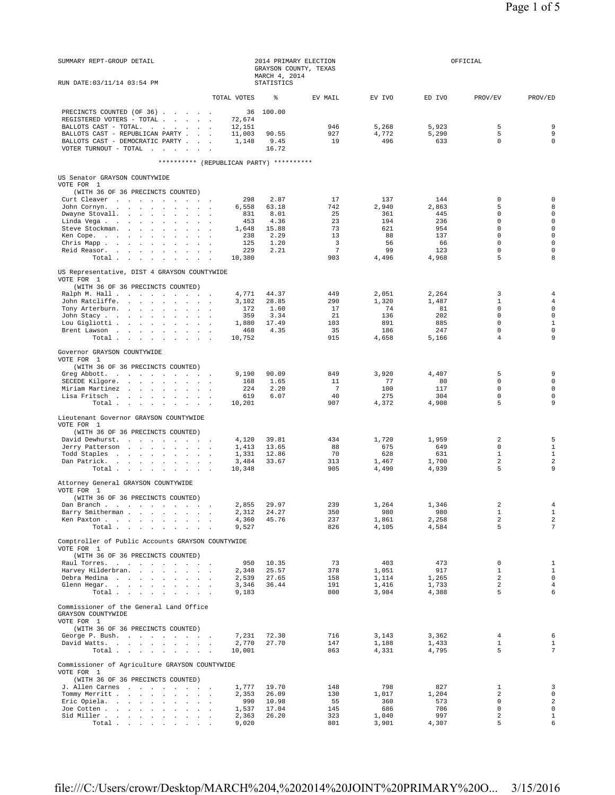| SUMMARY REPT-GROUP DETAIL                                                   | 2014 PRIMARY ELECTION<br>GRAYSON COUNTY, TEXAS<br>MARCH 4, 2014 |                   |                 | OFFICIAL       |                |                            |                                   |
|-----------------------------------------------------------------------------|-----------------------------------------------------------------|-------------------|-----------------|----------------|----------------|----------------------------|-----------------------------------|
| RUN DATE: 03/11/14 03:54 PM                                                 |                                                                 | <b>STATISTICS</b> |                 |                |                |                            |                                   |
|                                                                             | TOTAL VOTES                                                     | ⊱                 | EV MAIL         | EV IVO         | ED IVO         | PROV/EV                    | PROV/ED                           |
| PRECINCTS COUNTED (OF 36)                                                   | 36                                                              | 100.00            |                 |                |                |                            |                                   |
| REGISTERED VOTERS - TOTAL<br>BALLOTS CAST - TOTAL.                          | 72,674<br>12,151                                                |                   | 946             | 5,268          | 5,923          | 5                          | 9                                 |
| BALLOTS CAST - REPUBLICAN PARTY                                             | 11,003                                                          | 90.55             | 927             | 4,772          | 5,290          | 5                          | 9                                 |
| BALLOTS CAST - DEMOCRATIC PARTY                                             | 1,148                                                           | 9.45              | 19              | 496            | 633            | $\mathbf 0$                | $\mathbf 0$                       |
| VOTER TURNOUT - TOTAL $\ldots$                                              |                                                                 | 16.72             |                 |                |                |                            |                                   |
| ********** (REPUBLICAN PARTY) **********                                    |                                                                 |                   |                 |                |                |                            |                                   |
| US Senator GRAYSON COUNTYWIDE                                               |                                                                 |                   |                 |                |                |                            |                                   |
| VOTE FOR 1                                                                  |                                                                 |                   |                 |                |                |                            |                                   |
| (WITH 36 OF 36 PRECINCTS COUNTED)<br>Curt Cleaver                           | 298                                                             | 2.87              | 17              | 137            | 144            | $\mathbf 0$                | $\mathbf 0$                       |
| John Cornyn.                                                                | 6,558                                                           | 63.18             | 742             | 2,940          | 2,863          | 5                          | 8                                 |
| Dwayne Stovall.                                                             | 831                                                             | 8.01              | 25              | 361            | 445            | 0                          | $\mathbf 0$                       |
| Linda Vega                                                                  | 453                                                             | 4.36              | 23              | 194            | 236            | $\mathbf 0$                | $\mathbf 0$                       |
| Steve Stockman.                                                             | 1,648                                                           | 15.88             | 73              | 621            | 954            | $\mathbf 0$<br>$\mathbf 0$ | $\mathbf 0$<br>$\mathbf 0$        |
| Ken Cope.<br>Chris Mapp.                                                    | 238<br>125                                                      | 2.29<br>1.20      | 13<br>3         | 88<br>56       | 137<br>66      | $\Omega$                   | $\mathbf 0$                       |
| Reid Reasor.<br>$\ddot{\phantom{0}}$<br><b>Carl Carl</b>                    | 229                                                             | 2.21              | $7\phantom{.0}$ | 99             | 123            | $\mathbf 0$                | $\mathbf 0$                       |
| Total                                                                       | 10,380                                                          |                   | 903             | 4,496          | 4,968          | 5                          | 8                                 |
| US Representative, DIST 4 GRAYSON COUNTYWIDE                                |                                                                 |                   |                 |                |                |                            |                                   |
| VOTE FOR 1<br>(WITH 36 OF 36 PRECINCTS COUNTED)                             |                                                                 |                   |                 |                |                |                            |                                   |
| Ralph M. Hall                                                               | 4,771                                                           | 44.37             | 449             | 2,051          | 2,264          | 3                          | $\overline{4}$                    |
| John Ratcliffe.                                                             | 3,102                                                           | 28.85             | 290             | 1,320          | 1,487          | 1                          | $\overline{4}$                    |
| Tony Arterburn.                                                             | 172                                                             | 1.60              | 17              | 74             | 81             | $\mathbf 0$                | $\mathbf 0$                       |
| John Stacy<br>Lou Gigliotti                                                 | 359<br>1,880                                                    | 3.34<br>17.49     | 21<br>103       | 136<br>891     | 202<br>885     | $\mathbf 0$<br>$\mathbf 0$ | $\mathbf 0$<br>$\mathbf 1$        |
| Brent Lawson                                                                | 468                                                             | 4.35              | 35              | 186            | 247            | $\mathbf 0$                | $\mathbf 0$                       |
| Total                                                                       | 10,752                                                          |                   | 915             | 4,658          | 5,166          | 4                          | 9                                 |
| Governor GRAYSON COUNTYWIDE                                                 |                                                                 |                   |                 |                |                |                            |                                   |
| VOTE FOR 1                                                                  |                                                                 |                   |                 |                |                |                            |                                   |
| (WITH 36 OF 36 PRECINCTS COUNTED)<br>Greg Abbott.                           | 9,190                                                           | 90.09             | 849             | 3,920          | 4,407          | 5                          | 9                                 |
| SECEDE Kilgore.                                                             | 168                                                             | 1.65              | 11              | 77             | 80             | $\Omega$                   | $\mathsf{O}\xspace$               |
| Miriam Martinez                                                             | 224                                                             | 2.20              | $\overline{7}$  | 100            | 117            | $\mathbf 0$                | $\mathbf 0$                       |
| Lisa Fritsch                                                                | 619                                                             | 6.07              | 40              | 275            | 304            | $\mathbf 0$                | $\mathbf 0$                       |
| Total                                                                       | 10,201                                                          |                   | 907             | 4,372          | 4,908          | 5                          | 9                                 |
| Lieutenant Governor GRAYSON COUNTYWIDE<br>VOTE FOR 1                        |                                                                 |                   |                 |                |                |                            |                                   |
| (WITH 36 OF 36 PRECINCTS COUNTED)                                           |                                                                 |                   |                 |                |                |                            |                                   |
| David Dewhurst.                                                             | 4,120                                                           | 39.81             | 434             | 1,720          | 1,959          | 2                          | 5                                 |
| Jerry Patterson                                                             | 1,413                                                           | 13.65             | 88              | 675            | 649            | $\mathbf 0$                | $\mathbf{1}$                      |
| Todd Staples                                                                | 1,331                                                           | 12.86             | 70              | 628            | 631            | $\mathbf{1}$               | $\mathbf{1}$                      |
| Dan Patrick.<br>Total                                                       | 3,484<br>10,348                                                 | 33.67             | 313<br>905      | 1,467<br>4,490 | 1,700<br>4,939 | 2<br>5                     | $\overline{a}$<br>9               |
|                                                                             |                                                                 |                   |                 |                |                |                            |                                   |
| Attorney General GRAYSON COUNTYWIDE<br>VOTE FOR 1                           |                                                                 |                   |                 |                |                |                            |                                   |
| (WITH 36 OF 36 PRECINCTS COUNTED)                                           |                                                                 |                   |                 |                |                |                            |                                   |
| Dan Branch                                                                  | 2,855                                                           | 29.97             | 239             | 1,264          | 1,346          | 2                          |                                   |
| Barry Smitherman<br><b>Contractor</b><br>Ken Paxton                         | 2,312<br>4,360                                                  | 24.27<br>45.76    | 350<br>237      | 980<br>1,861   | 980<br>2.258   | $\mathbf{1}$<br>2          | $1\,$<br>2                        |
| Total<br>$\sim$                                                             | 9,527                                                           |                   | 826             | 4,105          | 4,584          | 5                          | $\overline{7}$                    |
| Comptroller of Public Accounts GRAYSON COUNTYWIDE                           |                                                                 |                   |                 |                |                |                            |                                   |
| VOTE FOR 1                                                                  |                                                                 |                   |                 |                |                |                            |                                   |
| (WITH 36 OF 36 PRECINCTS COUNTED)<br>Raul Torres.                           | 950                                                             | 10.35             | 73              | 403            | 473            | $\mathbf 0$                | $\mathbf{1}$                      |
| Harvey Hilderbran.                                                          | 2,348                                                           | 25.57             | 378             | 1,051          | 917            | $\mathbf{1}$               | $\mathbf{1}$                      |
| Debra Medina                                                                | 2,539                                                           | 27.65             | 158             | 1,114          | 1,265          | $\overline{a}$             | $\mathsf 0$                       |
| Glenn Hegar.                                                                | 3,346                                                           | 36.44             | 191             | 1,416          | 1,733          | $\overline{a}$             | $\overline{4}$                    |
| Total                                                                       | 9,183                                                           |                   | 800             | 3,984          | 4,388          | 5                          | 6                                 |
| Commissioner of the General Land Office<br>GRAYSON COUNTYWIDE<br>VOTE FOR 1 |                                                                 |                   |                 |                |                |                            |                                   |
| (WITH 36 OF 36 PRECINCTS COUNTED)<br>George P. Bush.                        | 7,231                                                           | 72.30             | 716             | 3,143          | 3,362          | 4                          | 6                                 |
| David Watts.                                                                | 2,770                                                           | 27.70             | 147             | 1,188          | 1,433          | $\mathbf{1}$               | $\mathbf{1}$                      |
| Total                                                                       | 10,001                                                          |                   | 863             | 4,331          | 4,795          | 5                          | $\overline{7}$                    |
| Commissioner of Agriculture GRAYSON COUNTYWIDE                              |                                                                 |                   |                 |                |                |                            |                                   |
| VOTE FOR 1<br>(WITH 36 OF 36 PRECINCTS COUNTED)                             |                                                                 |                   |                 |                |                |                            |                                   |
| J. Allen Carnes                                                             | 1,777                                                           | 19.70             | 148             | 798            | 827            | $\mathbf 1$                | 3                                 |
| Tommy Merritt<br>Eric Opiela.                                               | 2,353<br>990                                                    | 26.09<br>10.98    | 130<br>55       | 1,017<br>360   | 1,204<br>573   | 2<br>$\mathbf 0$           | $\mathsf{O}\xspace$<br>$\sqrt{2}$ |
| Joe Cotten<br>$\sim$<br>$\sim$                                              | 1,537                                                           | 17.04             | 145             | 686            | 706            | $\mathbf 0$                | $\mathsf{O}\xspace$               |
| Sid Miller                                                                  | 2,363                                                           | 26.20             | 323             | 1,040          | 997            | $\overline{a}$             | $\,1$                             |
| Total $\cdots$ $\cdots$<br>$\sim 10^{-1}$<br>$\sim 10^{-1}$                 | 9,020                                                           |                   | 801             | 3,901          | 4,307          | 5                          | 6                                 |

file:///C:/Users/crowr/Desktop/MARCH%204,%202014%20JOINT%20PRIMARY%20O... 3/15/2016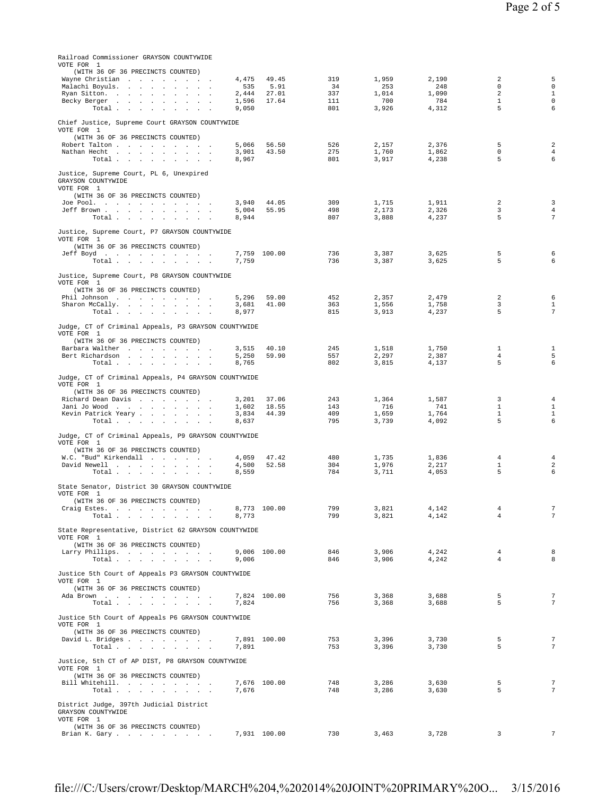| Page 2 of 5 |  |
|-------------|--|
|-------------|--|

| Railroad Commissioner GRAYSON COUNTYWIDE                                                                                                                  |                                         |                                 |                                |                                       |                                       |                                                                   |                                                   |
|-----------------------------------------------------------------------------------------------------------------------------------------------------------|-----------------------------------------|---------------------------------|--------------------------------|---------------------------------------|---------------------------------------|-------------------------------------------------------------------|---------------------------------------------------|
| VOTE FOR 1<br>(WITH 36 OF 36 PRECINCTS COUNTED)<br>Wayne Christian<br>Malachi Boyuls.<br>Ryan Sitton.<br>Becky Berger<br>Total                            | 4,475<br>535<br>2,444<br>1,596<br>9,050 | 49.45<br>5.91<br>27.01<br>17.64 | 319<br>34<br>337<br>111<br>801 | 1,959<br>253<br>1,014<br>700<br>3,926 | 2,190<br>248<br>1,090<br>784<br>4,312 | $\overline{a}$<br>$\Omega$<br>$\overline{a}$<br>$\mathbf{1}$<br>5 | 5<br>$\Omega$<br>$\mathbf{1}$<br>$\mathbf 0$<br>6 |
| Chief Justice, Supreme Court GRAYSON COUNTYWIDE<br>VOTE FOR 1<br>(WITH 36 OF 36 PRECINCTS COUNTED)<br>Robert Talton<br>Nathan Hecht<br>Total              | 5,066<br>3,901<br>8,967                 | 56.50<br>43.50                  | 526<br>275<br>801              | 2,157<br>1,760<br>3,917               | 2,376<br>1,862<br>4,238               | 5<br>$\mathbf 0$<br>5                                             | $\overline{a}$<br>4<br>6                          |
| Justice, Supreme Court, PL 6, Unexpired<br>GRAYSON COUNTYWIDE<br>VOTE FOR 1<br>(WITH 36 OF 36 PRECINCTS COUNTED)<br>Joe Pool.                             | 3,940                                   | 44.05                           | 309                            | 1,715                                 | 1,911                                 | 2                                                                 | 3                                                 |
| Jeff Brown<br>Total                                                                                                                                       | 5,004<br>8,944                          | 55.95                           | 498<br>807                     | 2,173<br>3,888                        | 2,326<br>4,237                        | 3<br>5                                                            | $\overline{4}$<br>7                               |
| Justice, Supreme Court, P7 GRAYSON COUNTYWIDE<br>VOTE FOR 1<br>(WITH 36 OF 36 PRECINCTS COUNTED)<br>Jeff Boyd                                             |                                         | 7,759 100.00                    | 736                            | 3,387                                 | 3,625                                 | 5                                                                 | 6                                                 |
| Total<br>Justice, Supreme Court, P8 GRAYSON COUNTYWIDE                                                                                                    | 7,759                                   |                                 | 736                            | 3,387                                 | 3,625                                 | 5                                                                 | 6                                                 |
| VOTE FOR 1<br>(WITH 36 OF 36 PRECINCTS COUNTED)<br>Phil Johnson<br>Sharon McCally.<br>Total                                                               | 5,296<br>3,681<br>8.977                 | 59.00<br>41.00                  | 452<br>363<br>815              | 2,357<br>1,556<br>3,913               | 2,479<br>1,758<br>4,237               | 2<br>3<br>5                                                       | 6<br>1<br>7                                       |
| Judge, CT of Criminal Appeals, P3 GRAYSON COUNTYWIDE<br>VOTE FOR 1<br>(WITH 36 OF 36 PRECINCTS COUNTED)<br>Barbara Walther<br>Bert Richardson             | 3,515<br>5,250                          | 40.10<br>59.90                  | 245<br>557                     | 1,518<br>2,297                        | 1,750<br>2,387                        | $\mathbf{1}$<br>$\overline{4}$                                    | $\mathbf{1}$<br>5                                 |
| Total $\ldots$ $\ldots$ $\ldots$ $\ldots$<br>Judge, CT of Criminal Appeals, P4 GRAYSON COUNTYWIDE<br>VOTE FOR 1<br>(WITH 36 OF 36 PRECINCTS COUNTED)      | 8,765                                   |                                 | 802                            | 3,815                                 | 4,137                                 | 5                                                                 | 6                                                 |
| Richard Dean Davis<br>Jani Jo Wood<br>Kevin Patrick Yeary<br>Total                                                                                        | 3,201<br>1,602<br>3,834<br>8,637        | 37.06<br>18.55<br>44.39         | 243<br>143<br>409<br>795       | 1,364<br>716<br>1,659<br>3,739        | 1,587<br>741<br>1,764<br>4,092        | 3<br>$\mathbf{1}$<br>$\mathbf{1}$<br>5                            | $\overline{4}$<br>1<br>$\mathbf{1}$<br>6          |
| Judge, CT of Criminal Appeals, P9 GRAYSON COUNTYWIDE<br>VOTE FOR 1<br>(WITH 36 OF 36 PRECINCTS COUNTED)<br>W.C. "Bud" Kirkendall<br>David Newell<br>Total | 4,059<br>4,500<br>8,559                 | 47.42<br>52.58                  | 480<br>304<br>784              | 1,735<br>1,976<br>3,711               | 1,836<br>2,217<br>4,053               | 4<br>$\mathbf{1}$<br>5                                            | 4<br>$\overline{2}$<br>6                          |
| State Senator, District 30 GRAYSON COUNTYWIDE<br>VOTE FOR 1<br>(WITH 36 OF 36 PRECINCTS COUNTED)<br>Craig Estes.<br>Total                                 | 8,773                                   | 8,773 100.00                    | 799<br>799                     | 3,821<br>3,821                        | 4,142<br>4,142                        | 4<br>$\overline{4}$                                               | $\overline{7}$<br>7                               |
| State Representative, District 62 GRAYSON COUNTYWIDE<br>VOTE FOR 1<br>(WITH 36 OF 36 PRECINCTS COUNTED)<br>Larry Phillips.<br>Total                       | 9,006                                   | 9,006 100.00                    | 846<br>846                     | 3,906<br>3,906                        | 4,242<br>4,242                        | 4<br>$\overline{4}$                                               | 8<br>8                                            |
| Justice 5th Court of Appeals P3 GRAYSON COUNTYWIDE<br>VOTE FOR 1<br>(WITH 36 OF 36 PRECINCTS COUNTED)<br>Ada Brown                                        |                                         | 7,824 100.00                    | 756                            | 3,368                                 | 3,688                                 | 5                                                                 | 7                                                 |
| Total<br>Justice 5th Court of Appeals P6 GRAYSON COUNTYWIDE<br>VOTE FOR 1<br>(WITH 36 OF 36 PRECINCTS COUNTED)                                            | 7.824                                   |                                 | 756                            | 3,368                                 | 3,688                                 | 5                                                                 | $\overline{7}$                                    |
| David L. Bridges<br>Total $\cdots$ $\cdots$ $\cdots$<br>Justice, 5th CT of AP DIST, P8 GRAYSON COUNTYWIDE<br>VOTE FOR 1                                   | 7,891                                   | 7,891 100.00                    | 753<br>753                     | 3,396<br>3,396                        | 3,730<br>3,730                        | 5<br>5                                                            | 7<br>7                                            |
| (WITH 36 OF 36 PRECINCTS COUNTED)<br>Bill Whitehill.<br>Total $\cdots$ $\cdots$ $\cdots$                                                                  | 7,676                                   | 7,676 100.00                    | 748<br>748                     | 3,286<br>3,286                        | 3,630<br>3,630                        | 5<br>5                                                            | 7<br>7                                            |
| District Judge, 397th Judicial District<br>GRAYSON COUNTYWIDE<br>VOTE FOR 1<br>(WITH 36 OF 36 PRECINCTS COUNTED)<br>Brian K. Gary                         |                                         | 7,931 100.00                    | 730                            | 3,463                                 | 3,728                                 | 3                                                                 | 7                                                 |
|                                                                                                                                                           |                                         |                                 |                                |                                       |                                       |                                                                   |                                                   |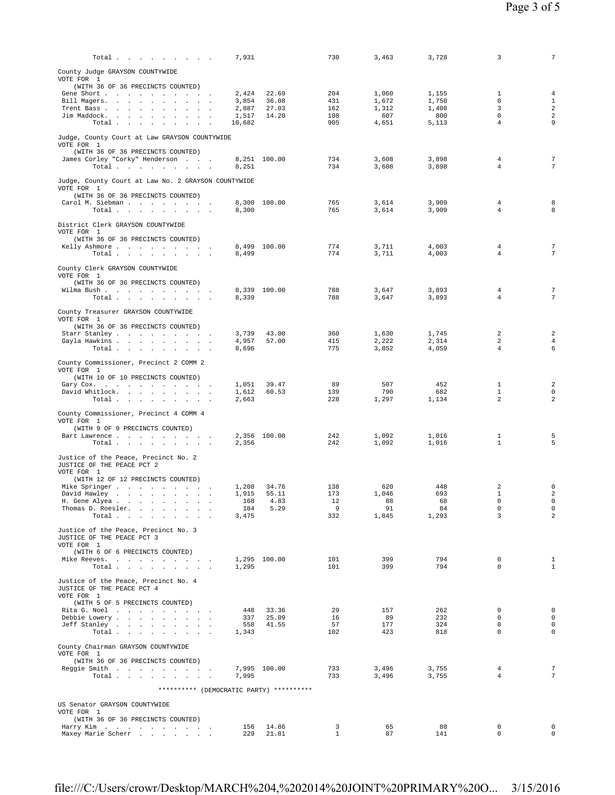| Total                                                              | 7,931                                    | 730               | 3,463          | 3,728          | 3                           | $7\phantom{.0}$                           |
|--------------------------------------------------------------------|------------------------------------------|-------------------|----------------|----------------|-----------------------------|-------------------------------------------|
| County Judge GRAYSON COUNTYWIDE                                    |                                          |                   |                |                |                             |                                           |
| VOTE FOR 1                                                         |                                          |                   |                |                |                             |                                           |
| (WITH 36 OF 36 PRECINCTS COUNTED)<br>Gene Short                    | 22.69<br>2,424                           | 204               | 1,060          | 1,155          | 1                           | $\overline{4}$                            |
| Bill Magers.                                                       | 3,854<br>36.08                           | 431               | 1,672          | 1,750          | $^{\circ}$                  | $\mathbf{1}$                              |
| Trent Bass                                                         | 27.03<br>2,887<br>14.20<br>1,517         | 162<br>108        | 1,312<br>607   | 1,408<br>800   | 3<br>$^{\circ}$             | $\overline{a}$<br>$\sqrt{2}$              |
| Jim Maddock.<br>Total                                              | 10,682                                   | 905               | 4,651          | 5,113          | $\overline{4}$              | 9                                         |
|                                                                    |                                          |                   |                |                |                             |                                           |
| Judge, County Court at Law GRAYSON COUNTYWIDE<br>VOTE FOR 1        |                                          |                   |                |                |                             |                                           |
| (WITH 36 OF 36 PRECINCTS COUNTED)                                  |                                          |                   |                |                |                             |                                           |
| James Corley "Corky" Henderson<br>Total $\cdots$ $\cdots$ $\cdots$ | 8,251 100.00<br>8,251                    | 734<br>734        | 3,608<br>3,608 | 3,898<br>3,898 | 4<br>4                      | 7<br>$\overline{7}$                       |
|                                                                    |                                          |                   |                |                |                             |                                           |
| Judge, County Court at Law No. 2 GRAYSON COUNTYWIDE                |                                          |                   |                |                |                             |                                           |
| VOTE FOR 1<br>(WITH 36 OF 36 PRECINCTS COUNTED)                    |                                          |                   |                |                |                             |                                           |
| Carol M. Siebman                                                   | 8,300 100.00                             | 765               | 3,614          | 3,909          | $\overline{4}$              | 8                                         |
| Total $\cdots$ $\cdots$ $\cdots$                                   | 8,300                                    | 765               | 3,614          | 3,909          | $\overline{4}$              | 8                                         |
| District Clerk GRAYSON COUNTYWIDE                                  |                                          |                   |                |                |                             |                                           |
| VOTE FOR 1                                                         |                                          |                   |                |                |                             |                                           |
| (WITH 36 OF 36 PRECINCTS COUNTED)<br>Kelly Ashmore                 | 8,499 100.00                             | 774               | 3,711          | 4,003          | 4                           | 7                                         |
| Total $\cdots$ $\cdots$ $\cdots$                                   | 8,499                                    | 774               | 3,711          | 4,003          | $\overline{4}$              | 7                                         |
| County Clerk GRAYSON COUNTYWIDE                                    |                                          |                   |                |                |                             |                                           |
| VOTE FOR 1                                                         |                                          |                   |                |                |                             |                                           |
| (WITH 36 OF 36 PRECINCTS COUNTED)                                  | 8,339 100.00                             | 788               | 3,647          | 3,893          | 4                           | 7                                         |
| Wilma Bush.<br>Total $\cdots$ $\cdots$ $\cdots$                    | 8,339                                    | 788               | 3,647          | 3,893          | $\overline{4}$              | 7                                         |
|                                                                    |                                          |                   |                |                |                             |                                           |
| County Treasurer GRAYSON COUNTYWIDE<br>VOTE FOR 1                  |                                          |                   |                |                |                             |                                           |
| (WITH 36 OF 36 PRECINCTS COUNTED)                                  |                                          |                   |                |                |                             |                                           |
| Starr Stanley<br>Gayla Hawkins                                     | 3,739<br>43.00<br>4,957<br>57.00         | 360<br>415        | 1,630<br>2,222 | 1,745<br>2,314 | 2<br>2                      | $\overline{\mathbf{c}}$<br>$\overline{4}$ |
| Total                                                              | 8,696                                    | 775               | 3,852          | 4,059          | $\overline{4}$              | 6                                         |
|                                                                    |                                          |                   |                |                |                             |                                           |
| County Commissioner, Precinct 2 COMM 2<br>VOTE FOR 1               |                                          |                   |                |                |                             |                                           |
| (WITH 10 OF 10 PRECINCTS COUNTED)                                  |                                          |                   |                |                |                             |                                           |
| Gary Cox.<br>David Whitlock.                                       | 1,051<br>39.47<br>1,612<br>60.53         | 89<br>139         | 507<br>790     | 452<br>682     | 1<br>$\mathbf{1}$           | $\overline{\mathbf{c}}$<br>0              |
| Total                                                              | 2,663                                    | 228               | 1,297          | 1,134          | 2                           | $\overline{a}$                            |
| County Commissioner, Precinct 4 COMM 4                             |                                          |                   |                |                |                             |                                           |
| VOTE FOR 1                                                         |                                          |                   |                |                |                             |                                           |
| (WITH 9 OF 9 PRECINCTS COUNTED)                                    |                                          |                   |                |                |                             |                                           |
| Bart Lawrence<br>Total $\cdots$ $\cdots$ $\cdots$                  | 2,356 100.00<br>2,356                    | 242<br>242        | 1,092<br>1,092 | 1,016<br>1,016 | 1<br>1                      | 5<br>5                                    |
|                                                                    |                                          |                   |                |                |                             |                                           |
| Justice of the Peace, Precinct No. 2<br>JUSTICE OF THE PEACE PCT 2 |                                          |                   |                |                |                             |                                           |
| VOTE FOR 1                                                         |                                          |                   |                |                |                             |                                           |
| (WITH 12 OF 12 PRECINCTS COUNTED)                                  | 34.76                                    | 138               | 620            | 448            | 2                           | 0                                         |
| Mike Springer<br>David Hawley                                      | 1,208<br>55.11<br>1,915                  | 173               | 1,046          | 693            | $\mathbf{1}$                | $\sqrt{2}$                                |
| H. Gene Alyea .<br>the contract of the contract of the             | 4.83<br>168                              | 12                | 88             | 68             | $\mathbf 0$                 | $\mathsf{O}\xspace$                       |
| Thomas D. Roesler.<br>Total                                        | 184<br>5.29<br>3,475                     | 9<br>332          | 91<br>1,845    | 84<br>1,293    | 0<br>3                      | 0<br>$\overline{a}$                       |
|                                                                    |                                          |                   |                |                |                             |                                           |
| Justice of the Peace, Precinct No. 3<br>JUSTICE OF THE PEACE PCT 3 |                                          |                   |                |                |                             |                                           |
| VOTE FOR 1                                                         |                                          |                   |                |                |                             |                                           |
| (WITH 6 OF 6 PRECINCTS COUNTED)                                    |                                          |                   |                |                |                             |                                           |
| Mike Reeves.<br>Total                                              | 1,295 100.00<br>1,295                    | 101<br>101        | 399<br>399     | 794<br>794     | $^{\circ}$<br>$\Omega$      | $\mathbf{1}$<br>$\mathbf{1}$              |
|                                                                    |                                          |                   |                |                |                             |                                           |
| Justice of the Peace, Precinct No. 4<br>JUSTICE OF THE PEACE PCT 4 |                                          |                   |                |                |                             |                                           |
| VOTE FOR 1                                                         |                                          |                   |                |                |                             |                                           |
| (WITH 5 OF 5 PRECINCTS COUNTED)                                    |                                          |                   |                |                |                             |                                           |
| Rita G. Noel<br>Debbie Lowery                                      | 448<br>33.36<br>337<br>25.09             | 29<br>16          | 157<br>89      | 262<br>232     | $^{\circ}$<br>0             | $\mathbf 0$<br>$\mathbf 0$                |
| Jeff Stanley                                                       | 558<br>41.55                             | 57                | 177            | 324            | $\mathbf 0$                 | $\mathbf 0$                               |
| Total                                                              | 1,343                                    | 102               | 423            | 818            | $\Omega$                    | $\mathbf 0$                               |
| County Chairman GRAYSON COUNTYWIDE                                 |                                          |                   |                |                |                             |                                           |
| VOTE FOR 1                                                         |                                          |                   |                |                |                             |                                           |
| (WITH 36 OF 36 PRECINCTS COUNTED)<br>Reggie Smith                  | 7,995 100.00                             | 733               | 3,496          | 3,755          | 4                           | $7\phantom{.0}$                           |
| Total<br>$\sim$                                                    | 7,995                                    | 733               | 3,496          | 3,755          | 4                           | 7                                         |
|                                                                    | ********** (DEMOCRATIC PARTY) ********** |                   |                |                |                             |                                           |
|                                                                    |                                          |                   |                |                |                             |                                           |
| US Senator GRAYSON COUNTYWIDE<br>VOTE FOR 1                        |                                          |                   |                |                |                             |                                           |
| (WITH 36 OF 36 PRECINCTS COUNTED)                                  |                                          |                   |                |                |                             |                                           |
| Harry Kim                                                          | 156<br>14.86<br>229                      | 3<br>$\mathbf{1}$ | 65<br>87       | 88<br>141      | $\mathbf 0$<br>$\mathbf{0}$ | $\mathbf 0$<br>$\Omega$                   |
| Maxey Marie Scherr                                                 | 21.81                                    |                   |                |                |                             |                                           |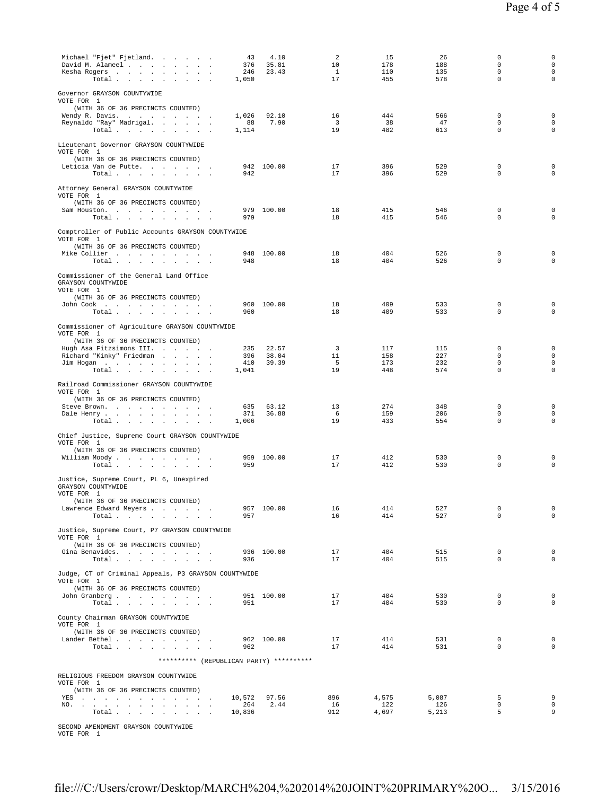| Michael "Fjet" Fjetland.<br>-43<br>David M. Alameel<br>376<br>Kesha Rogers<br>246<br>Total $\cdots$ $\cdots$ $\cdots$<br>1,050 | 4.10<br>35.81<br>23.43 | 2<br>10<br>$\mathbf{1}$<br>17 | 15<br>178<br>110<br>455 | 26<br>188<br>135<br>578 | 0<br>0<br>$\mathbf 0$<br>$\mathbf 0$ | 0<br>$\mathsf 0$<br>$\mathbf 0$<br>$\mathsf 0$ |
|--------------------------------------------------------------------------------------------------------------------------------|------------------------|-------------------------------|-------------------------|-------------------------|--------------------------------------|------------------------------------------------|
| Governor GRAYSON COUNTYWIDE                                                                                                    |                        |                               |                         |                         |                                      |                                                |
| VOTE FOR 1<br>(WITH 36 OF 36 PRECINCTS COUNTED)                                                                                |                        |                               |                         |                         |                                      |                                                |
| 1,026<br>Wendy R. Davis.                                                                                                       | 92.10                  | 16                            | 444                     | 566                     | 0                                    | 0                                              |
| 88<br>Reynaldo "Ray" Madrigal.<br>1,114<br>Total $\cdots$ $\cdots$ $\cdots$                                                    | 7.90                   | $\overline{\mathbf{3}}$<br>19 | 38<br>482               | 47<br>613               | 0<br>$\Omega$                        | $\mathbf 0$<br>$\mathbf 0$                     |
| Lieutenant Governor GRAYSON COUNTYWIDE<br>VOTE FOR 1                                                                           |                        |                               |                         |                         |                                      |                                                |
| (WITH 36 OF 36 PRECINCTS COUNTED)                                                                                              |                        |                               |                         |                         |                                      |                                                |
| Leticia Van de Putte<br>942<br>Total $\cdots$ $\cdots$ $\cdots$                                                                | 942 100.00             | 17<br>17                      | 396<br>396              | 529<br>529              | 0<br>$\mathbf 0$                     | $\mathsf 0$<br>$\mathsf 0$                     |
| Attorney General GRAYSON COUNTYWIDE<br>VOTE FOR 1                                                                              |                        |                               |                         |                         |                                      |                                                |
| (WITH 36 OF 36 PRECINCTS COUNTED)<br>Sam Houston.                                                                              | 979 100.00             | 18                            | 415                     | 546                     | 0                                    | $\mathsf 0$                                    |
| 979<br>Total $\cdots$ $\cdots$ $\cdots$                                                                                        |                        | 18                            | 415                     | 546                     | $\Omega$                             | $\mathbf 0$                                    |
| Comptroller of Public Accounts GRAYSON COUNTYWIDE<br>VOTE FOR 1                                                                |                        |                               |                         |                         |                                      |                                                |
| (WITH 36 OF 36 PRECINCTS COUNTED)                                                                                              |                        |                               |                         |                         |                                      |                                                |
| Mike Collier<br>Total<br>948                                                                                                   | 948 100.00             | 18<br>18                      | 404<br>404              | 526<br>526              | 0<br>$\mathbf 0$                     | $\mathsf 0$<br>$\mathbf 0$                     |
|                                                                                                                                |                        |                               |                         |                         |                                      |                                                |
| Commissioner of the General Land Office<br>GRAYSON COUNTYWIDE<br>VOTE FOR 1                                                    |                        |                               |                         |                         |                                      |                                                |
| (WITH 36 OF 36 PRECINCTS COUNTED)                                                                                              |                        |                               |                         |                         |                                      |                                                |
| John Cook<br>960                                                                                                               | 960 100.00             | 18<br>18                      | 409<br>409              | 533<br>533              | 0<br>$\mathbf 0$                     | 0<br>$\mathsf 0$                               |
| Total                                                                                                                          |                        |                               |                         |                         |                                      |                                                |
| Commissioner of Agriculture GRAYSON COUNTYWIDE<br>VOTE FOR 1<br>(WITH 36 OF 36 PRECINCTS COUNTED)                              |                        |                               |                         |                         |                                      |                                                |
| Hugh Asa Fitzsimons III.<br>235                                                                                                | 22.57                  | $\overline{\mathbf{3}}$       | 117                     | 115                     | $\mathbf 0$                          | 0                                              |
| Richard "Kinky" Friedman<br>396                                                                                                | 38.04                  | 11                            | 158                     | 227                     | $\Omega$                             | $\mathbf 0$                                    |
| Jim Hogan<br>410<br>Total $\cdots$ $\cdots$ $\cdots$<br>1,041                                                                  | 39.39                  | 5<br>19                       | 173<br>448              | 232<br>574              | 0<br>0                               | $\mathbf 0$<br>$\mathsf 0$                     |
|                                                                                                                                |                        |                               |                         |                         |                                      |                                                |
| Railroad Commissioner GRAYSON COUNTYWIDE<br>VOTE FOR 1<br>(WITH 36 OF 36 PRECINCTS COUNTED)                                    |                        |                               |                         |                         |                                      |                                                |
| Steve Brown.<br>635                                                                                                            | 63.12                  | 13                            | 274                     | 348                     | 0                                    | 0                                              |
| 371<br>Dale Henry<br>Total $\cdots$ $\cdots$ $\cdots$<br>1,006                                                                 | 36.88                  | - 6<br>19                     | 159<br>433              | 206<br>554              | 0<br>$\mathbf 0$                     | $\mathbf 0$<br>$\mathsf 0$                     |
|                                                                                                                                |                        |                               |                         |                         |                                      |                                                |
| Chief Justice, Supreme Court GRAYSON COUNTYWIDE<br>VOTE FOR 1                                                                  |                        |                               |                         |                         |                                      |                                                |
| (WITH 36 OF 36 PRECINCTS COUNTED)                                                                                              | 959 100.00             | 17                            | 412                     | 530                     | 0                                    | 0                                              |
| William Moody<br>Total $\cdots$ $\cdots$ $\cdots$<br>959                                                                       |                        | 17                            | 412                     | 530                     | $\mathbf 0$                          | $\mathsf 0$                                    |
| Justice, Supreme Court, PL 6, Unexpired<br>GRAYSON COUNTYWIDE                                                                  |                        |                               |                         |                         |                                      |                                                |
| VOTE FOR 1                                                                                                                     |                        |                               |                         |                         |                                      |                                                |
| (WITH 36 OF 36 PRECINCTS COUNTED)<br>Lawrence Edward Meyers                                                                    | 957 100.00             | 16                            | 414                     | 527                     | 0                                    | $\mathsf{O}$                                   |
| Total<br>957                                                                                                                   |                        | 16                            | 414                     | 527                     | $\mathbf 0$                          | $\circ$                                        |
| Justice, Supreme Court, P7 GRAYSON COUNTYWIDE<br>VOTE FOR 1                                                                    |                        |                               |                         |                         |                                      |                                                |
| (WITH 36 OF 36 PRECINCTS COUNTED)                                                                                              |                        |                               |                         |                         | $\mathbf 0$                          |                                                |
| Gina Benavides.<br>Total<br>936                                                                                                | 936 100.00             | 17<br>17                      | 404<br>404              | 515<br>515              | $\mathbf 0$                          | $\mathbf 0$<br>0                               |
| Judge, CT of Criminal Appeals, P3 GRAYSON COUNTYWIDE<br>VOTE FOR 1                                                             |                        |                               |                         |                         |                                      |                                                |
| (WITH 36 OF 36 PRECINCTS COUNTED)                                                                                              |                        |                               |                         |                         |                                      |                                                |
| John Granberg<br>Total                                                                                                         | 951 100.00             | 17<br>17                      | 404<br>404              | 530                     | $\mathbf 0$<br>$\Omega$              | $\mathbf 0$<br>$\mathbf 0$                     |
| 951                                                                                                                            |                        |                               |                         | 530                     |                                      |                                                |
| County Chairman GRAYSON COUNTYWIDE<br>VOTE FOR 1                                                                               |                        |                               |                         |                         |                                      |                                                |
| (WITH 36 OF 36 PRECINCTS COUNTED)                                                                                              |                        |                               |                         |                         |                                      |                                                |
| Lander Bethel<br>Total<br>962                                                                                                  | 962 100.00             | 17<br>17                      | 414<br>414              | 531<br>531              | 0<br>$\Omega$                        | $\mathbf 0$<br>$\mathbf 0$                     |
|                                                                                                                                |                        |                               |                         |                         |                                      |                                                |
| ********** (REPUBLICAN PARTY) **********                                                                                       |                        |                               |                         |                         |                                      |                                                |
| RELIGIOUS FREEDOM GRAYSON COUNTYWIDE<br>VOTE FOR 1                                                                             |                        |                               |                         |                         |                                      |                                                |
| (WITH 36 OF 36 PRECINCTS COUNTED)<br>10,572                                                                                    | 97.56                  | 896                           | 4,575                   | 5,087                   | 5                                    | 9                                              |
| YES<br>NO. .<br>264<br>the contract of the contract of the contract of                                                         | 2.44                   | 16                            | 122                     | 126                     | 0                                    | $\mathbf 0$                                    |
| Total<br>10,836                                                                                                                |                        | 912                           | 4,697                   | 5,213                   | 5                                    | 9                                              |
|                                                                                                                                |                        |                               |                         |                         |                                      |                                                |

SECOND AMENDMENT GRAYSON COUNTYWIDE

VOTE FOR 1